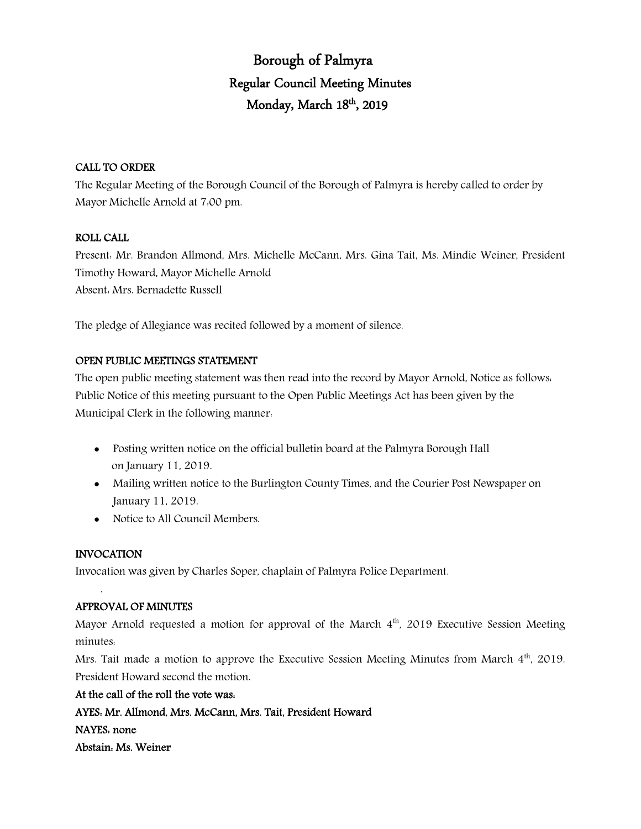# Borough of Palmyra Regular Council Meeting Minutes Monday, March 18<sup>th</sup>, 2019

### CALL TO ORDER

The Regular Meeting of the Borough Council of the Borough of Palmyra is hereby called to order by Mayor Michelle Arnold at 7:00 pm.

### ROLL CALL

Present: Mr. Brandon Allmond, Mrs. Michelle McCann, Mrs. Gina Tait, Ms. Mindie Weiner, President Timothy Howard, Mayor Michelle Arnold Absent: Mrs. Bernadette Russell

The pledge of Allegiance was recited followed by a moment of silence.

### OPEN PUBLIC MEETINGS STATEMENT

The open public meeting statement was then read into the record by Mayor Arnold, Notice as follows: Public Notice of this meeting pursuant to the Open Public Meetings Act has been given by the Municipal Clerk in the following manner:

- Posting written notice on the official bulletin board at the Palmyra Borough Hall on January 11, 2019.
- Mailing written notice to the Burlington County Times, and the Courier Post Newspaper on January 11, 2019.
- Notice to All Council Members.

# INVOCATION

.

Invocation was given by Charles Soper, chaplain of Palmyra Police Department.

# APPROVAL OF MINUTES

Mayor Arnold requested a motion for approval of the March  $4<sup>th</sup>$ , 2019 Executive Session Meeting minutes:

Mrs. Tait made a motion to approve the Executive Session Meeting Minutes from March 4<sup>th</sup>, 2019. President Howard second the motion.

### At the call of the roll the vote was:

AYES: Mr. Allmond, Mrs. McCann, Mrs. Tait, President Howard

NAYES: none

Abstain: Ms. Weiner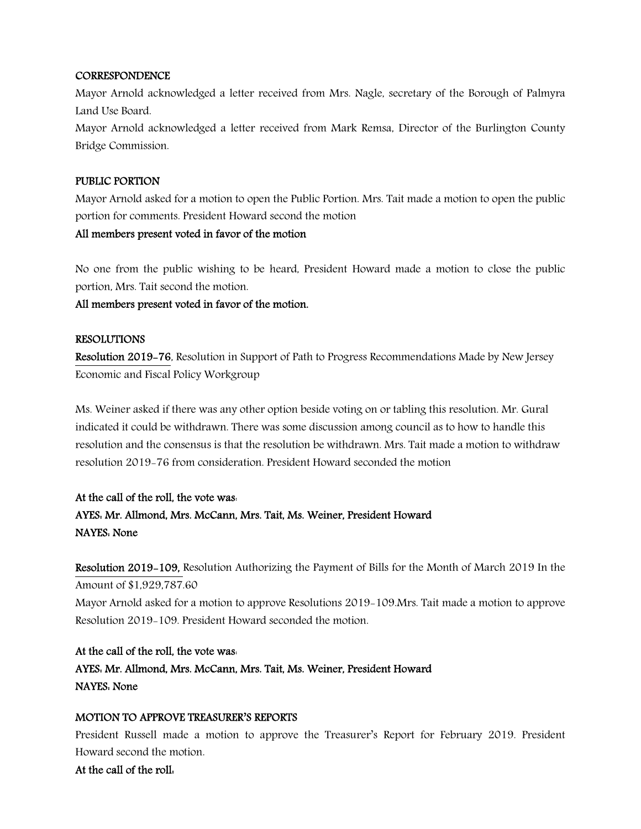### **CORRESPONDENCE**

Mayor Arnold acknowledged a letter received from Mrs. Nagle, secretary of the Borough of Palmyra Land Use Board.

Mayor Arnold acknowledged a letter received from Mark Remsa, Director of the Burlington County Bridge Commission.

### PUBLIC PORTION

Mayor Arnold asked for a motion to open the Public Portion. Mrs. Tait made a motion to open the public portion for comments. President Howard second the motion

### All members present voted in favor of the motion

No one from the public wishing to be heard, President Howard made a motion to close the public portion, Mrs. Tait second the motion.

### All members present voted in favor of the motion.

### RESOLUTIONS

Resolution 2019-76, Resolution in Support of Path to Progress Recommendations Made by New Jersey Economic and Fiscal Policy Workgroup

Ms. Weiner asked if there was any other option beside voting on or tabling this resolution. Mr. Gural indicated it could be withdrawn. There was some discussion among council as to how to handle this resolution and the consensus is that the resolution be withdrawn. Mrs. Tait made a motion to withdraw resolution 2019-76 from consideration. President Howard seconded the motion

# At the call of the roll, the vote was: AYES: Mr. Allmond, Mrs. McCann, Mrs. Tait, Ms. Weiner, President Howard NAYES: None

Resolution 2019-109, Resolution Authorizing the Payment of Bills for the Month of March 2019 In the Amount of \$1,929,787.60 Mayor Arnold asked for a motion to approve Resolutions 2019-109.Mrs. Tait made a motion to approve Resolution 2019-109. President Howard seconded the motion.

At the call of the roll, the vote was: AYES: Mr. Allmond, Mrs. McCann, Mrs. Tait, Ms. Weiner, President Howard NAYES: None

# MOTION TO APPROVE TREASURER'S REPORTS

President Russell made a motion to approve the Treasurer's Report for February 2019. President Howard second the motion.

At the call of the roll: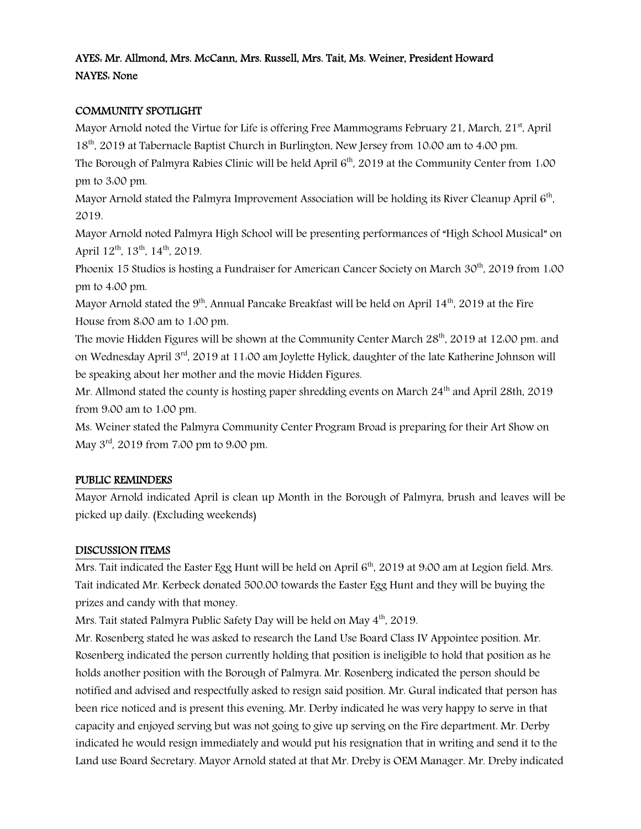# AYES: Mr. Allmond, Mrs. McCann, Mrs. Russell, Mrs. Tait, Ms. Weiner, President Howard NAYES: None

### COMMUNITY SPOTLIGHT

Mayor Arnold noted the Virtue for Life is offering Free Mammograms February 21, March,  $21<sup>st</sup>$ , April 18th, 2019 at Tabernacle Baptist Church in Burlington, New Jersey from 10:00 am to 4:00 pm.

The Borough of Palmyra Rabies Clinic will be held April 6<sup>th</sup>, 2019 at the Community Center from 1:00 pm to 3:00 pm.

Mayor Arnold stated the Palmyra Improvement Association will be holding its River Cleanup April  $6<sup>th</sup>$ , 2019.

Mayor Arnold noted Palmyra High School will be presenting performances of "High School Musical" on April  $12^{th}$ ,  $13^{th}$ ,  $14^{th}$ ,  $2019$ .

Phoenix 15 Studios is hosting a Fundraiser for American Cancer Society on March 30<sup>th</sup>, 2019 from 1:00 pm to 4:00 pm.

Mayor Arnold stated the  $9<sup>th</sup>$ , Annual Pancake Breakfast will be held on April 14<sup>th</sup>, 2019 at the Fire House from 8:00 am to 1:00 pm.

The movie Hidden Figures will be shown at the Community Center March 28<sup>th</sup>, 2019 at 12:00 pm. and on Wednesday April 3rd, 2019 at 11:00 am Joylette Hylick, daughter of the late Katherine Johnson will be speaking about her mother and the movie Hidden Figures.

Mr. Allmond stated the county is hosting paper shredding events on March  $24<sup>th</sup>$  and April 28th, 2019 from 9:00 am to 1:00 pm.

Ms. Weiner stated the Palmyra Community Center Program Broad is preparing for their Art Show on May 3rd, 2019 from 7:00 pm to 9:00 pm.

### PUBLIC REMINDERS

Mayor Arnold indicated April is clean up Month in the Borough of Palmyra, brush and leaves will be picked up daily. (Excluding weekends)

# DISCUSSION ITEMS

Mrs. Tait indicated the Easter Egg Hunt will be held on April 6<sup>th</sup>, 2019 at 9:00 am at Legion field. Mrs. Tait indicated Mr. Kerbeck donated 500.00 towards the Easter Egg Hunt and they will be buying the prizes and candy with that money.

Mrs. Tait stated Palmyra Public Safety Day will be held on May 4<sup>th</sup>, 2019.

Mr. Rosenberg stated he was asked to research the Land Use Board Class IV Appointee position. Mr. Rosenberg indicated the person currently holding that position is ineligible to hold that position as he holds another position with the Borough of Palmyra. Mr. Rosenberg indicated the person should be notified and advised and respectfully asked to resign said position. Mr. Gural indicated that person has been rice noticed and is present this evening. Mr. Derby indicated he was very happy to serve in that capacity and enjoyed serving but was not going to give up serving on the Fire department. Mr. Derby indicated he would resign immediately and would put his resignation that in writing and send it to the Land use Board Secretary. Mayor Arnold stated at that Mr. Dreby is OEM Manager. Mr. Dreby indicated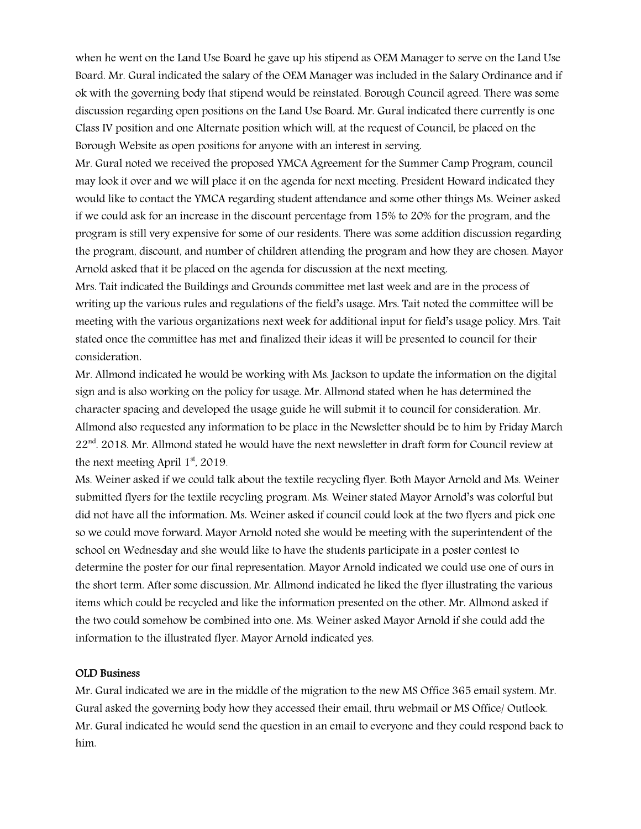when he went on the Land Use Board he gave up his stipend as OEM Manager to serve on the Land Use Board. Mr. Gural indicated the salary of the OEM Manager was included in the Salary Ordinance and if ok with the governing body that stipend would be reinstated. Borough Council agreed. There was some discussion regarding open positions on the Land Use Board. Mr. Gural indicated there currently is one Class IV position and one Alternate position which will, at the request of Council, be placed on the Borough Website as open positions for anyone with an interest in serving.

Mr. Gural noted we received the proposed YMCA Agreement for the Summer Camp Program, council may look it over and we will place it on the agenda for next meeting. President Howard indicated they would like to contact the YMCA regarding student attendance and some other things Ms. Weiner asked if we could ask for an increase in the discount percentage from 15% to 20% for the program, and the program is still very expensive for some of our residents. There was some addition discussion regarding the program, discount, and number of children attending the program and how they are chosen. Mayor Arnold asked that it be placed on the agenda for discussion at the next meeting.

Mrs. Tait indicated the Buildings and Grounds committee met last week and are in the process of writing up the various rules and regulations of the field's usage. Mrs. Tait noted the committee will be meeting with the various organizations next week for additional input for field's usage policy. Mrs. Tait stated once the committee has met and finalized their ideas it will be presented to council for their consideration.

Mr. Allmond indicated he would be working with Ms. Jackson to update the information on the digital sign and is also working on the policy for usage. Mr. Allmond stated when he has determined the character spacing and developed the usage guide he will submit it to council for consideration. Mr. Allmond also requested any information to be place in the Newsletter should be to him by Friday March  $22<sup>nd</sup>$ . 2018. Mr. Allmond stated he would have the next newsletter in draft form for Council review at the next meeting April  $1<sup>st</sup>$ , 2019.

Ms. Weiner asked if we could talk about the textile recycling flyer. Both Mayor Arnold and Ms. Weiner submitted flyers for the textile recycling program. Ms. Weiner stated Mayor Arnold's was colorful but did not have all the information. Ms. Weiner asked if council could look at the two flyers and pick one so we could move forward. Mayor Arnold noted she would be meeting with the superintendent of the school on Wednesday and she would like to have the students participate in a poster contest to determine the poster for our final representation. Mayor Arnold indicated we could use one of ours in the short term. After some discussion, Mr. Allmond indicated he liked the flyer illustrating the various items which could be recycled and like the information presented on the other. Mr. Allmond asked if the two could somehow be combined into one. Ms. Weiner asked Mayor Arnold if she could add the information to the illustrated flyer. Mayor Arnold indicated yes.

### OLD Business

Mr. Gural indicated we are in the middle of the migration to the new MS Office 365 email system. Mr. Gural asked the governing body how they accessed their email, thru webmail or MS Office/ Outlook. Mr. Gural indicated he would send the question in an email to everyone and they could respond back to him.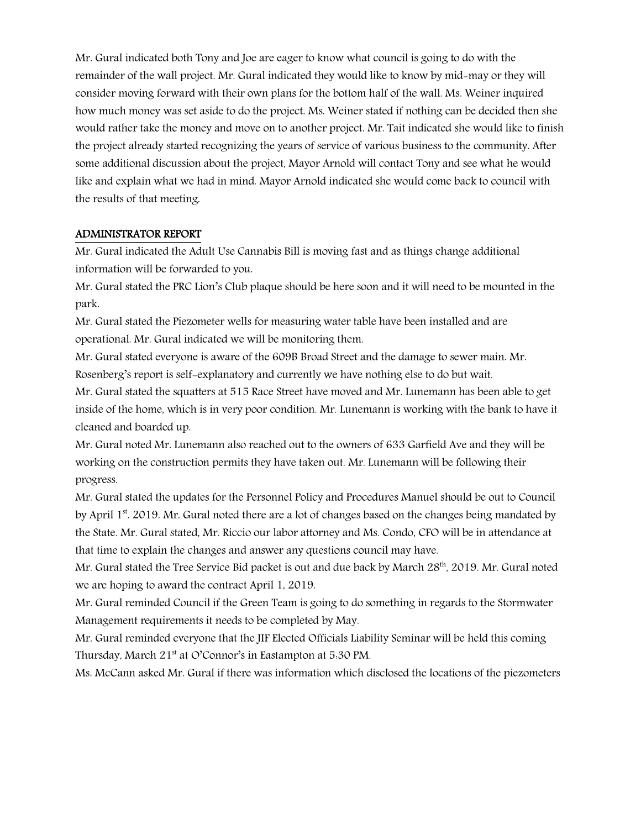Mr. Gural indicated both Tony and Joe are eager to know what council is going to do with the remainder of the wall project. Mr. Gural indicated they would like to know by mid-may or they will consider moving forward with their own plans for the bottom half of the wall. Ms. Weiner inquired how much money was set aside to do the project. Ms. Weiner stated if nothing can be decided then she would rather take the money and move on to another project. Mr. Tait indicated she would like to finish the project already started recognizing the years of service of various business to the community. After some additional discussion about the project, Mayor Arnold will contact Tony and see what he would like and explain what we had in mind. Mayor Arnold indicated she would come back to council with the results of that meeting.

### ADMINISTRATOR REPORT

Mr. Gural indicated the Adult Use Cannabis Bill is moving fast and as things change additional information will be forwarded to you.

Mr. Gural stated the PRC Lion's Club plaque should be here soon and it will need to be mounted in the park.

Mr. Gural stated the Piezometer wells for measuring water table have been installed and are operational. Mr. Gural indicated we will be monitoring them.

Mr. Gural stated everyone is aware of the 609B Broad Street and the damage to sewer main. Mr. Rosenberg's report is self-explanatory and currently we have nothing else to do but wait.

Mr. Gural stated the squatters at 515 Race Street have moved and Mr. Lunemann has been able to get inside of the home, which is in very poor condition. Mr. Lunemann is working with the bank to have it cleaned and boarded up.

Mr. Gural noted Mr. Lunemann also reached out to the owners of 633 Garfield Ave and they will be working on the construction permits they have taken out. Mr. Lunemann will be following their progress.

Mr. Gural stated the updates for the Personnel Policy and Procedures Manuel should be out to Council by April  $1<sup>st</sup>$ . 2019. Mr. Gural noted there are a lot of changes based on the changes being mandated by the State. Mr. Gural stated, Mr. Riccio our labor attorney and Ms. Condo, CFO will be in attendance at that time to explain the changes and answer any questions council may have.

Mr. Gural stated the Tree Service Bid packet is out and due back by March 28<sup>th</sup>, 2019. Mr. Gural noted we are hoping to award the contract April 1, 2019.

Mr. Gural reminded Council if the Green Team is going to do something in regards to the Stormwater Management requirements it needs to be completed by May.

Mr. Gural reminded everyone that the JIF Elected Officials Liability Seminar will be held this coming Thursday, March 21<sup>st</sup> at O'Connor's in Eastampton at 5.30 PM.

Ms. McCann asked Mr. Gural if there was information which disclosed the locations of the piezometers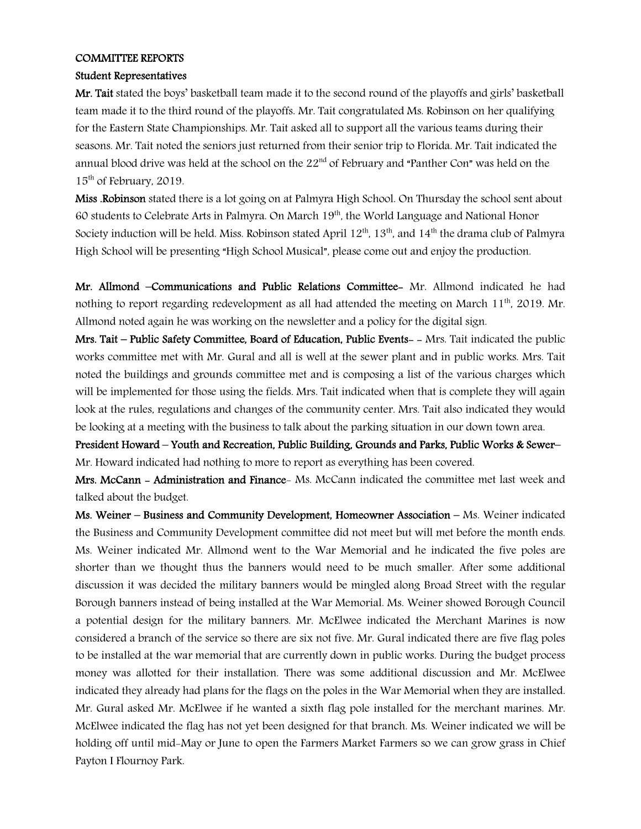### COMMITTEE REPORTS

### Student Representatives

Mr. Tait stated the boys' basketball team made it to the second round of the playoffs and girls' basketball team made it to the third round of the playoffs. Mr. Tait congratulated Ms. Robinson on her qualifying for the Eastern State Championships. Mr. Tait asked all to support all the various teams during their seasons. Mr. Tait noted the seniors just returned from their senior trip to Florida. Mr. Tait indicated the annual blood drive was held at the school on the  $22<sup>nd</sup>$  of February and "Panther Con" was held on the 15<sup>th</sup> of February, 2019.

Miss .Robinson stated there is a lot going on at Palmyra High School. On Thursday the school sent about 60 students to Celebrate Arts in Palmyra. On March 19<sup>th</sup>, the World Language and National Honor Society induction will be held. Miss. Robinson stated April  $12^{th}$ ,  $13^{th}$ , and  $14^{th}$  the drama club of Palmyra High School will be presenting "High School Musical", please come out and enjoy the production.

Mr. Allmond –Communications and Public Relations Committee- Mr. Allmond indicated he had nothing to report regarding redevelopment as all had attended the meeting on March  $11<sup>th</sup>$ , 2019. Mr. Allmond noted again he was working on the newsletter and a policy for the digital sign.

Mrs. Tait – Public Safety Committee, Board of Education, Public Events- - Mrs. Tait indicated the public works committee met with Mr. Gural and all is well at the sewer plant and in public works. Mrs. Tait noted the buildings and grounds committee met and is composing a list of the various charges which will be implemented for those using the fields. Mrs. Tait indicated when that is complete they will again look at the rules, regulations and changes of the community center. Mrs. Tait also indicated they would be looking at a meeting with the business to talk about the parking situation in our down town area.

President Howard – Youth and Recreation, Public Building, Grounds and Parks, Public Works & Sewer– Mr. Howard indicated had nothing to more to report as everything has been covered.

Mrs. McCann - Administration and Finance- Ms. McCann indicated the committee met last week and talked about the budget.

Ms. Weiner – Business and Community Development, Homeowner Association – Ms. Weiner indicated the Business and Community Development committee did not meet but will met before the month ends. Ms. Weiner indicated Mr. Allmond went to the War Memorial and he indicated the five poles are shorter than we thought thus the banners would need to be much smaller. After some additional discussion it was decided the military banners would be mingled along Broad Street with the regular Borough banners instead of being installed at the War Memorial. Ms. Weiner showed Borough Council a potential design for the military banners. Mr. McElwee indicated the Merchant Marines is now considered a branch of the service so there are six not five. Mr. Gural indicated there are five flag poles to be installed at the war memorial that are currently down in public works. During the budget process money was allotted for their installation. There was some additional discussion and Mr. McElwee indicated they already had plans for the flags on the poles in the War Memorial when they are installed. Mr. Gural asked Mr. McElwee if he wanted a sixth flag pole installed for the merchant marines. Mr. McElwee indicated the flag has not yet been designed for that branch. Ms. Weiner indicated we will be holding off until mid-May or June to open the Farmers Market Farmers so we can grow grass in Chief Payton I Flournoy Park.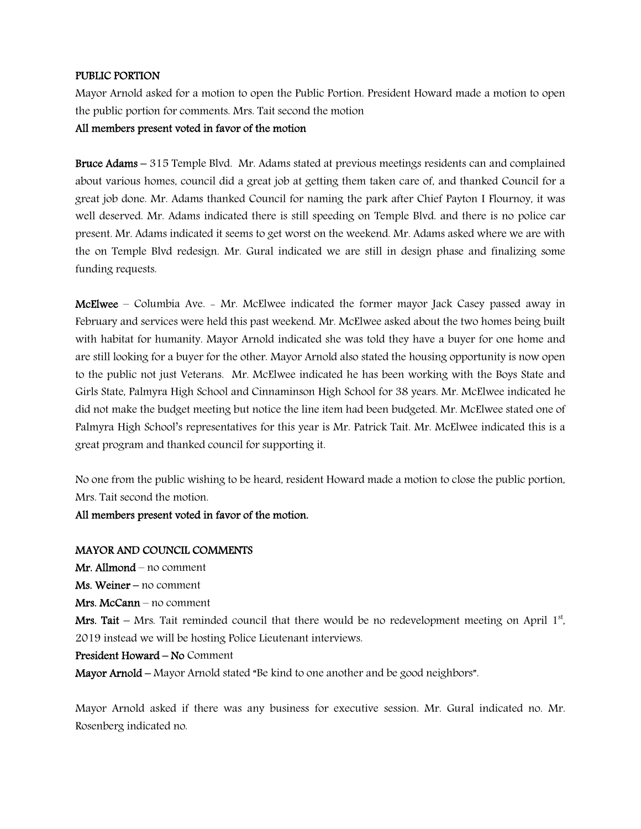# PUBLIC PORTION

Mayor Arnold asked for a motion to open the Public Portion. President Howard made a motion to open the public portion for comments. Mrs. Tait second the motion

All members present voted in favor of the motion

Bruce Adams – 315 Temple Blvd. Mr. Adams stated at previous meetings residents can and complained about various homes, council did a great job at getting them taken care of, and thanked Council for a great job done. Mr. Adams thanked Council for naming the park after Chief Payton I Flournoy, it was well deserved. Mr. Adams indicated there is still speeding on Temple Blvd. and there is no police car present. Mr. Adams indicated it seems to get worst on the weekend. Mr. Adams asked where we are with the on Temple Blvd redesign. Mr. Gural indicated we are still in design phase and finalizing some funding requests.

McElwee – Columbia Ave. - Mr. McElwee indicated the former mayor Jack Casey passed away in February and services were held this past weekend. Mr. McElwee asked about the two homes being built with habitat for humanity. Mayor Arnold indicated she was told they have a buyer for one home and are still looking for a buyer for the other. Mayor Arnold also stated the housing opportunity is now open to the public not just Veterans. Mr. McElwee indicated he has been working with the Boys State and Girls State, Palmyra High School and Cinnaminson High School for 38 years. Mr. McElwee indicated he did not make the budget meeting but notice the line item had been budgeted. Mr. McElwee stated one of Palmyra High School's representatives for this year is Mr. Patrick Tait. Mr. McElwee indicated this is a great program and thanked council for supporting it.

No one from the public wishing to be heard, resident Howard made a motion to close the public portion, Mrs. Tait second the motion.

All members present voted in favor of the motion.

#### MAYOR AND COUNCIL COMMENTS

Mr. Allmond – no comment

Ms. Weiner – no comment

Mrs. McCann – no comment

Mrs. Tait  $-$  Mrs. Tait reminded council that there would be no redevelopment meeting on April  $1<sup>st</sup>$ , 2019 instead we will be hosting Police Lieutenant interviews.

### President Howard – No Comment

Mayor Arnold – Mayor Arnold stated "Be kind to one another and be good neighbors".

Mayor Arnold asked if there was any business for executive session. Mr. Gural indicated no. Mr. Rosenberg indicated no.